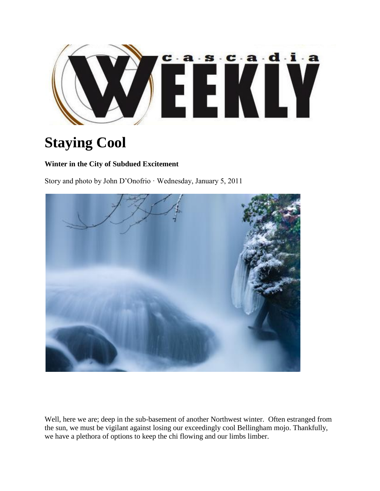

## **Staying Cool**

**Winter in the City of Subdued Excitement** 

Story and photo by John D'Onofrio · Wednesday, January 5, 2011



Well, here we are; deep in the sub-basement of another Northwest winter. Often estranged from the sun, we must be vigilant against losing our exceedingly cool Bellingham mojo. Thankfully, we have a plethora of options to keep the chi flowing and our limbs limber.